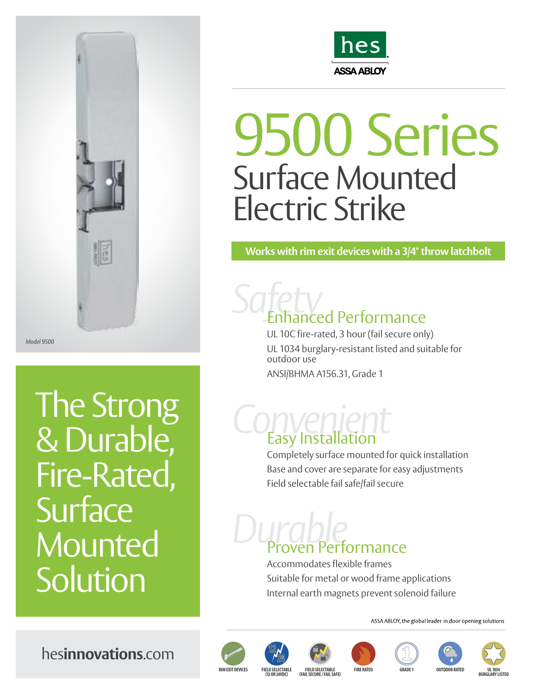

*Model 9500*

The Strong & Durable, Fire-Rated, **Surface** Mounted **Solution** 



### 9500 Series Surface Mounted Electric Strike

**Works with rim exit devices with a 3/4" throw latchbolt**

# *Safety*  Enhanced Performance

UL 10C fire-rated, 3 hour (fail secure only) UL 1034 burglary-resistant listed and suitable for outdoor use ANSI/BHMA A156.31, Grade 1

# *Convenient* Easy Installation

Completely surface mounted for quick installation Base and cover are separate for easy adjustments Field selectable fail safe/fail secure

# *Durable* Proven Performance

Accommodates flexible frames Suitable for metal or wood frame applications Internal earth magnets prevent solenoid failure

ASSA ABLOY, the global leader in door opening solutions















hes**innovations**.com